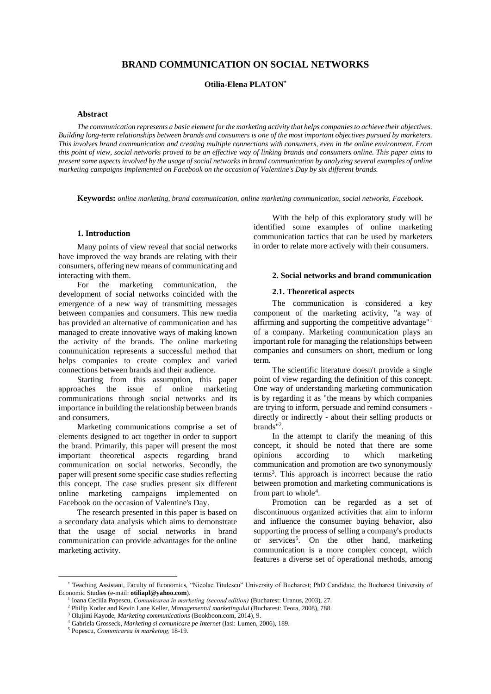# **BRAND COMMUNICATION ON SOCIAL NETWORKS**

**Otilia-Elena PLATON\***

### **Abstract**

*The communication represents a basic element for the marketing activity that helps companies to achieve their objectives. Building long-term relationships between brands and consumers is one of the most important objectives pursued by marketers. This involves brand communication and creating multiple connections with consumers, even in the online environment. From this point of view, social networks proved to be an effective way of linking brands and consumers online. This paper aims to present some aspects involved by the usage of social networks in brand communication by analyzing several examples of online marketing campaigns implemented on Facebook on the occasion of Valentine's Day by six different brands.*

**Keywords:** *online marketing, brand communication, online marketing communication, social networks, Facebook.*

#### **1. Introduction\***

Many points of view reveal that social networks have improved the way brands are relating with their consumers, offering new means of communicating and interacting with them.

For the marketing communication, the development of social networks coincided with the emergence of a new way of transmitting messages between companies and consumers. This new media has provided an alternative of communication and has managed to create innovative ways of making known the activity of the brands. The online marketing communication represents a successful method that helps companies to create complex and varied connections between brands and their audience.

Starting from this assumption, this paper approaches the issue of online marketing communications through social networks and its importance in building the relationship between brands and consumers.

Marketing communications comprise a set of elements designed to act together in order to support the brand. Primarily, this paper will present the most important theoretical aspects regarding brand communication on social networks. Secondly, the paper will present some specific case studies reflecting this concept. The case studies present six different online marketing campaigns implemented on Facebook on the occasion of Valentine's Day.

The research presented in this paper is based on a secondary data analysis which aims to demonstrate that the usage of social networks in brand communication can provide advantages for the online marketing activity.

With the help of this exploratory study will be identified some examples of online marketing communication tactics that can be used by marketers in order to relate more actively with their consumers.

## **2. Social networks and brand communication**

#### **2.1. Theoretical aspects**

The communication is considered a key component of the marketing activity, "a way of affirming and supporting the competitive advantage"<sup>1</sup> of a company. Marketing communication plays an important role for managing the relationships between companies and consumers on short, medium or long term.

The scientific literature doesn't provide a single point of view regarding the definition of this concept. One way of understanding marketing communication is by regarding it as "the means by which companies are trying to inform, persuade and remind consumers directly or indirectly - about their selling products or brands"<sup>2</sup> .

In the attempt to clarify the meaning of this concept, it should be noted that there are some opinions according to which marketing communication and promotion are two synonymously terms<sup>3</sup> . This approach is incorrect because the ratio between promotion and marketing communications is from part to whole<sup>4</sup>.

Promotion can be regarded as a set of discontinuous organized activities that aim to inform and influence the consumer buying behavior, also supporting the process of selling a company's products or services<sup>5</sup>. On the other hand, marketing communication is a more complex concept, which features a diverse set of operational methods, among

 $\overline{a}$ 

<sup>\*</sup> Teaching Assistant, Faculty of Economics, "Nicolae Titulescu" University of Bucharest; PhD Candidate, the Bucharest University of Economic Studies (e-mail: **otiliapl@yahoo.com**).

<sup>&</sup>lt;sup>1</sup> Ioana Cecilia Popescu, *Comunicarea în marketing (second edition)* (Bucharest: Uranus, 2003), 27.

<sup>2</sup> Philip Kotler and Kevin Lane Keller, *Managementul marketingului* (Bucharest: Teora, 2008), 788.

<sup>3</sup> Olujimi Kayode, *Marketing communications* (Bookboon.com, 2014), 9.

<sup>4</sup> Gabriela Grosseck, *Marketing si comunicare pe Internet* (Iasi: Lumen, 2006), 189.

<sup>5</sup> Popescu, *Comunicarea în marketing,* 18-19.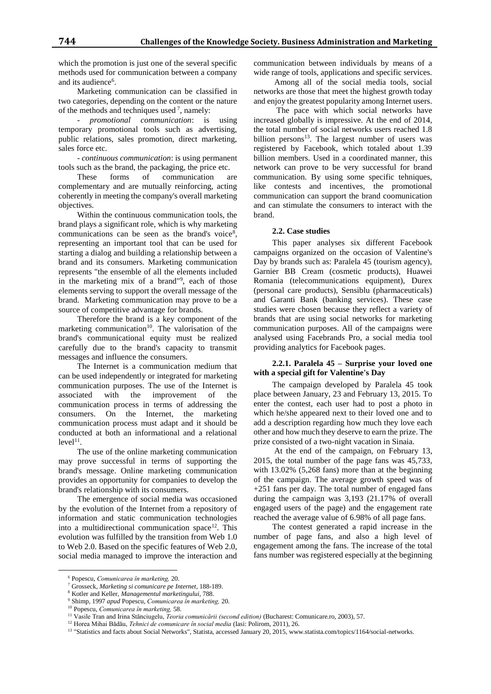which the promotion is just one of the several specific methods used for communication between a company and its audience<sup>6</sup>.

Marketing communication can be classified in two categories, depending on the content or the nature of the methods and techniques used<sup>7</sup>, namely:

- *promotional communication*: is using temporary promotional tools such as advertising, public relations, sales promotion, direct marketing, sales force etc.

- *continuous communication*: is using permanent tools such as the brand, the packaging, the price etc.

These forms of communication are complementary and are mutually reinforcing, acting coherently in meeting the company's overall marketing objectives.

Within the continuous communication tools, the brand plays a significant role, which is why marketing communications can be seen as the brand's voice<sup>8</sup>, representing an important tool that can be used for starting a dialog and building a relationship between a brand and its consumers. Marketing communication represents "the ensemble of all the elements included in the marketing mix of a brand"<sup>9</sup> , each of those elements serving to support the overall message of the brand. Marketing communication may prove to be a source of competitive advantage for brands.

Therefore the brand is a key component of the marketing communication<sup>10</sup>. The valorisation of the brand's communicational equity must be realized carefully due to the brand's capacity to transmit messages and influence the consumers.

The Internet is a communication medium that can be used independently or integrated for marketing communication purposes. The use of the Internet is associated with the improvement of the communication process in terms of addressing the consumers. On the Internet, the marketing communication process must adapt and it should be conducted at both an informational and a relational  $level<sup>11</sup>$ .

The use of the online marketing communication may prove successful in terms of supporting the brand's message. Online marketing communication provides an opportunity for companies to develop the brand's relationship with its consumers.

The emergence of social media was occasioned by the evolution of the Internet from a repository of information and static communication technologies into a multidirectional communication space $12$ . This evolution was fulfilled by the transition from Web 1.0 to Web 2.0. Based on the specific features of Web 2.0, social media managed to improve the interaction and communication between individuals by means of a wide range of tools, applications and specific services.

Among all of the social media tools, social networks are those that meet the highest growth today and enjoy the greatest popularity among Internet users.

 The pace with which social networks have increased globally is impressive. At the end of 2014, the total number of social networks users reached 1.8 billion persons<sup>13</sup>. The largest number of users was registered by Facebook, which totaled about 1.39 billion members. Used in a coordinated manner, this network can prove to be very successful for brand communication. By using some specific tehniques, like contests and incentives, the promotional communication can support the brand coomunication and can stimulate the consumers to interact with the brand.

### **2.2. Case studies**

This paper analyses six different Facebook campaigns organized on the occasion of Valentine's Day by brands such as: Paralela 45 (tourism agency), Garnier BB Cream (cosmetic products), Huawei Romania (telecommunications equipment), Durex (personal care products), Sensiblu (pharmaceuticals) and Garanti Bank (banking services). These case studies were chosen because they reflect a variety of brands that are using social networks for marketing communication purposes. All of the campaigns were analysed using Facebrands Pro, a social media tool providing analytics for Facebook pages.

### **2.2.1. Paralela 45 – Surprise your loved one with a special gift for Valentine's Day**

The campaign developed by Paralela 45 took place between January, 23 and February 13, 2015. To enter the contest, each user had to post a photo in which he/she appeared next to their loved one and to add a description regarding how much they love each other and how much they deserve to earn the prize. The prize consisted of a two-night vacation in Sinaia.

At the end of the campaign, on February 13, 2015, the total number of the page fans was 45,733, with 13.02% (5,268 fans) more than at the beginning of the campaign. The average growth speed was of +251 fans per day. The total number of engaged fans during the campaign was 3,193 (21.17% of overall engaged users of the page) and the engagement rate reached the average value of 6.98% of all page fans.

The contest generated a rapid increase in the number of page fans, and also a high level of engagement among the fans. The increase of the total fans number was registered especially at the beginning

 $\overline{a}$ 

<sup>6</sup> Popescu, *Comunicarea în marketing,* 20.

<sup>7</sup> Grosseck, *Marketing si comunicare pe Internet*, 188-189.

<sup>8</sup> Kotler and Keller, *Managementul marketingului*, 788.

<sup>9</sup> Shimp, 1997 *apud* Popescu, *Comunicarea în marketing,* 20.

<sup>10</sup> Popescu, *Comunicarea în marketing,* 58.

<sup>11</sup> Vasile Tran and Irina Stănciugelu, *Teoria comunicării (second edition)* (Bucharest: Comunicare.ro, 2003), 57.

<sup>12</sup> Horea Mihai Bădău, *Tehnici de comunicare în social media* (Iasi: Polirom, 2011), 26.

<sup>&</sup>lt;sup>13</sup> "Statistics and facts about Social Networks", Statista, accessed January 20, 2015, www.statista.com/topics/1164/social-networks.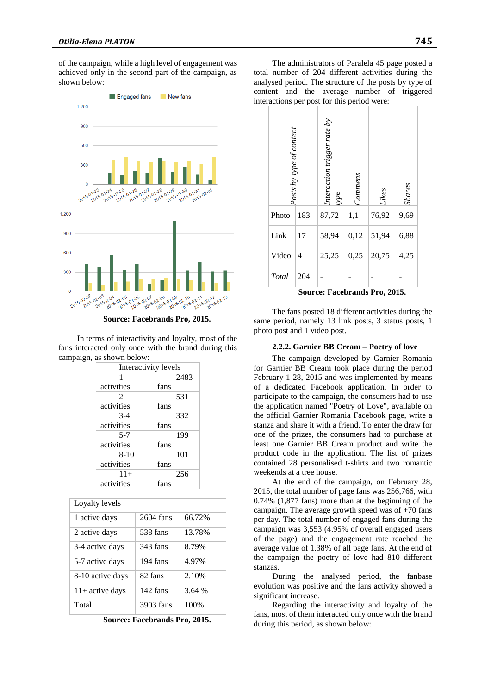of the campaign, while a high level of engagement was achieved only in the second part of the campaign, as shown below:



**Source: Facebrands Pro, 2015.** 

In terms of interactivity and loyalty, most of the fans interacted only once with the brand during this campaign, as shown below:

| Interactivity levels |      |  |  |  |
|----------------------|------|--|--|--|
| 1                    | 2483 |  |  |  |
| activities           | fans |  |  |  |
| 2                    | 531  |  |  |  |
| activities           | fans |  |  |  |
| $3-4$                | 332  |  |  |  |
| activities           | fans |  |  |  |
| $5 - 7$              | 199  |  |  |  |
| activities           | fans |  |  |  |
| $8-10$               | 101  |  |  |  |
| activities           | fans |  |  |  |
| $11+$                | 256  |  |  |  |
| activities           | fans |  |  |  |

| Loyalty levels    |           |        |
|-------------------|-----------|--------|
| 1 active days     | 2604 fans | 66.72% |
| 2 active days     | 538 fans  | 13.78% |
| 3-4 active days   | 343 fans  | 8.79%  |
| 5-7 active days   | 194 fans  | 4.97%  |
| 8-10 active days  | 82 fans   | 2.10%  |
| $11+$ active days | 142 fans  | 3.64%  |
| Total             | 3903 fans | 100%   |

**Source: Facebrands Pro, 2015.**

The administrators of Paralela 45 page posted a total number of 204 different activities during the analysed period. The structure of the posts by type of content and the average number of triggered interactions per post for this period were:

| Posts by type of content |                  | Interaction trigger rate by<br>type           | Commens | Likes           | <b>Shares</b> |
|--------------------------|------------------|-----------------------------------------------|---------|-----------------|---------------|
| Photo                    | 183              | 87,72                                         | 1,1     | 76,92           | 9,69          |
| Link                     | 17               | 58,94                                         | 0,12    | 51,94           | 6,88          |
| Video                    | 4                | 25,25                                         | 0,25    | 20,75           | 4,25          |
| Total                    | 204<br>C ------- | $\mathbf{E} \sim \mathbf{E} \cdot \mathbf{E}$ | ----    | .1. D.<br>901 E |               |

**Source: Facebrands Pro, 2015.** 

The fans posted 18 different activities during the same period, namely 13 link posts, 3 status posts, 1 photo post and 1 video post.

#### **2.2.2. Garnier BB Cream – Poetry of love**

The campaign developed by Garnier Romania for Garnier BB Cream took place during the period February 1-28, 2015 and was implemented by means of a dedicated Facebook application. In order to participate to the campaign, the consumers had to use the application named "Poetry of Love", available on the official Garnier Romania Facebook page, write a stanza and share it with a friend. To enter the draw for one of the prizes, the consumers had to purchase at least one Garnier BB Cream product and write the product code in the application. The list of prizes contained 28 personalised t-shirts and two romantic weekends at a tree house.

At the end of the campaign, on February 28, 2015, the total number of page fans was 256,766, with 0.74% (1,877 fans) more than at the beginning of the campaign. The average growth speed was of  $+70$  fans per day. The total number of engaged fans during the campaign was 3,553 (4.95% of overall engaged users of the page) and the engagement rate reached the average value of 1.38% of all page fans. At the end of the campaign the poetry of love had 810 different stanzas.

During the analysed period, the fanbase evolution was positive and the fans activity showed a significant increase.

Regarding the interactivity and loyalty of the fans, most of them interacted only once with the brand during this period, as shown below: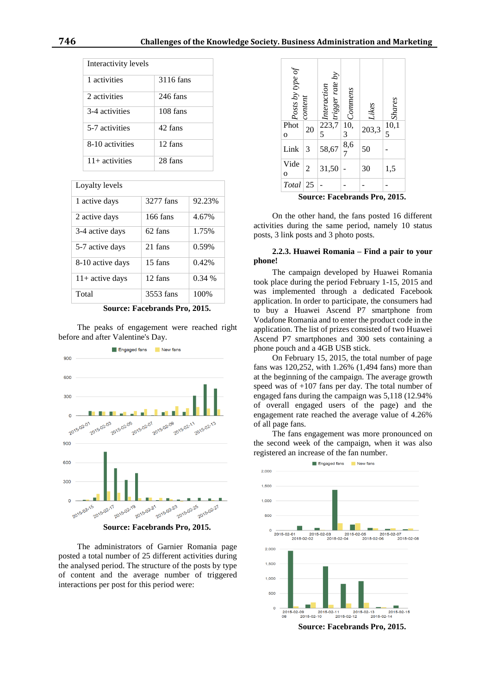| Interactivity levels |           |
|----------------------|-----------|
| 1 activities         | 3116 fans |
| 2 activities         | 246 fans  |
| 3-4 activities       | 108 fans  |
| 5-7 activities       | 42 fans   |
| 8-10 activities      | 12 fans   |
| $11+$ activities     | 28 fans   |

## Loyalty levels

| 1 active days     | 3277 fans | 92.23%   |
|-------------------|-----------|----------|
| 2 active days     | 166 fans  | 4.67%    |
| 3-4 active days   | 62 fans   | 1.75%    |
| 5-7 active days   | 21 fans   | 0.59%    |
| 8-10 active days  | 15 fans   | 0.42%    |
| $11+$ active days | 12 fans   | $0.34\%$ |
| Total             | 3553 fans | 100%     |

**Source: Facebrands Pro, 2015.** 

The peaks of engagement were reached right before and after Valentine's Day.



The administrators of Garnier Romania page posted a total number of 25 different activities during the analysed period. The structure of the posts by type of content and the average number of triggered interactions per post for this period were:



On the other hand, the fans posted 16 different activities during the same period, namely 10 status posts, 3 link posts and 3 photo posts.

### **2.2.3. Huawei Romania – Find a pair to your phone!**

The campaign developed by Huawei Romania took place during the period February 1-15, 2015 and was implemented through a dedicated Facebook application. In order to participate, the consumers had to buy a Huawei Ascend P7 smartphone from Vodafone Romania and to enter the product code in the application. The list of prizes consisted of two Huawei Ascend P7 smartphones and 300 sets containing a phone pouch and a 4GB USB stick.

On February 15, 2015, the total number of page fans was 120,252, with 1.26% (1,494 fans) more than at the beginning of the campaign. The average growth speed was of +107 fans per day. The total number of engaged fans during the campaign was 5,118 (12.94% of overall engaged users of the page) and the engagement rate reached the average value of 4.26% of all page fans.

The fans engagement was more pronounced on the second week of the campaign, when it was also registered an increase of the fan number.

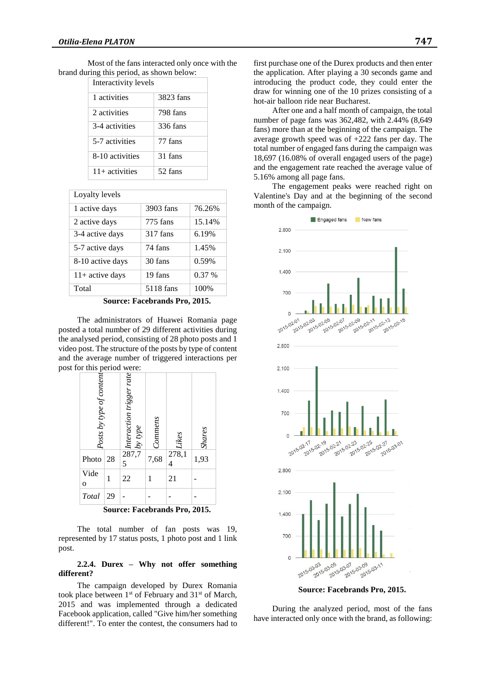Most of the fans interacted only once with the brand during this period, as shown below:

| Interactivity levels |           |  |  |
|----------------------|-----------|--|--|
| 1 activities         | 3823 fans |  |  |
| 2 activities         | 798 fans  |  |  |
| 3-4 activities       | 336 fans  |  |  |
| 5-7 activities       | 77 fans   |  |  |
| 8-10 activities      | 31 fans   |  |  |
| $11+$ activities     | 52 fans   |  |  |

Lovalty levels

| 1 active days     | 3903 fans | 76.26% |
|-------------------|-----------|--------|
| 2 active days     | 775 fans  | 15.14% |
| 3-4 active days   | 317 fans  | 6.19%  |
| 5-7 active days   | 74 fans   | 1.45%  |
| 8-10 active days  | 30 fans   | 0.59%  |
| $11+$ active days | 19 fans   | 0.37%  |
| Total             | 5118 fans | 100%   |

**Source: Facebrands Pro, 2015.** 

The administrators of Huawei Romania page posted a total number of 29 different activities during the analysed period, consisting of 28 photo posts and 1 video post. The structure of the posts by type of content and the average number of triggered interactions per post for this period were:

| Posts by type of content      |    | $\frac{1}{28}$ <i>lnteraction trigger rate</i><br>$\frac{1}{2}$ <i>by type</i> | Commens | Likes      | <b>Shares</b> |
|-------------------------------|----|--------------------------------------------------------------------------------|---------|------------|---------------|
| Photo                         | 28 | 5                                                                              | 7,68    | 278,1<br>4 | 1,93          |
| Vide<br>$\mathbf 0$           | 1  | 22                                                                             | 1       | 21         |               |
| Total                         | 29 |                                                                                |         |            |               |
| Source: Facebrands Pro, 2015. |    |                                                                                |         |            |               |

The total number of fan posts was 19, represented by 17 status posts, 1 photo post and 1 link post.

### **2.2.4. Durex – Why not offer something different?**

The campaign developed by Durex Romania took place between 1<sup>st</sup> of February and 31<sup>st</sup> of March, 2015 and was implemented through a dedicated Facebook application, called "Give him/her something different!". To enter the contest, the consumers had to

first purchase one of the Durex products and then enter the application. After playing a 30 seconds game and introducing the product code, they could enter the draw for winning one of the 10 prizes consisting of a hot-air balloon ride near Bucharest.

After one and a half month of campaign, the total number of page fans was 362,482, with 2.44% (8,649 fans) more than at the beginning of the campaign. The average growth speed was of +222 fans per day. The total number of engaged fans during the campaign was 18,697 (16.08% of overall engaged users of the page) and the engagement rate reached the average value of 5.16% among all page fans.

The engagement peaks were reached right on Valentine's Day and at the beginning of the second month of the campaign.



**Source: Facebrands Pro, 2015.** 

During the analyzed period, most of the fans have interacted only once with the brand, as following: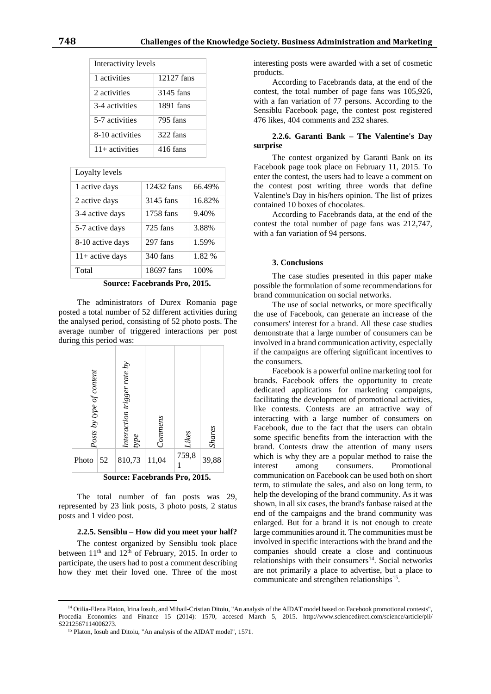| Interactivity levels |            |  |
|----------------------|------------|--|
| 1 activities         | 12127 fans |  |
| 2 activities         | 3145 fans  |  |
| 3-4 activities       | 1891 fans  |  |
| 5-7 activities       | 795 fans   |  |
| 8-10 activities      | 322 fans   |  |
| $11+$ activities     | 416 fans   |  |

Loyalty levels

| 1 active days     | 12432 fans | 66.49% |
|-------------------|------------|--------|
| 2 active days     | 3145 fans  | 16.82% |
| 3-4 active days   | 1758 fans  | 9.40%  |
| 5-7 active days   | $725$ fans | 3.88%  |
| 8-10 active days  | 297 fans   | 1.59%  |
| $11+$ active days | 340 fans   | 1.82 % |
| Total             | 18697 fans | 100%   |

**Source: Facebrands Pro, 2015.** 

The administrators of Durex Romania page posted a total number of 52 different activities during the analysed period, consisting of 52 photo posts. The average number of triggered interactions per post during this period was:



The total number of fan posts was 29, represented by 23 link posts, 3 photo posts, 2 status posts and 1 video post.

### **2.2.5. Sensiblu – How did you meet your half?**

The contest organized by Sensiblu took place between  $11<sup>th</sup>$  and  $12<sup>th</sup>$  of February, 2015. In order to participate, the users had to post a comment describing how they met their loved one. Three of the most

 $\overline{a}$ 

interesting posts were awarded with a set of cosmetic products.

According to Facebrands data, at the end of the contest, the total number of page fans was 105,926, with a fan variation of 77 persons. According to the Sensiblu Facebook page, the contest post registered 476 likes, 404 comments and 232 shares.

# **2.2.6. Garanti Bank – The Valentine's Day surprise**

The contest organized by Garanti Bank on its Facebook page took place on February 11, 2015. To enter the contest, the users had to leave a comment on the contest post writing three words that define Valentine's Day in his/hers opinion. The list of prizes contained 10 boxes of chocolates.

According to Facebrands data, at the end of the contest the total number of page fans was 212,747, with a fan variation of 94 persons.

#### **3. Conclusions**

The case studies presented in this paper make possible the formulation of some recommendations for brand communication on social networks.

The use of social networks, or more specifically the use of Facebook, can generate an increase of the consumers' interest for a brand. All these case studies demonstrate that a large number of consumers can be involved in a brand communication activity, especially if the campaigns are offering significant incentives to the consumers.

Facebook is a powerful online marketing tool for brands. Facebook offers the opportunity to create dedicated applications for marketing campaigns, facilitating the development of promotional activities, like contests. Contests are an attractive way of interacting with a large number of consumers on Facebook, due to the fact that the users can obtain some specific benefits from the interaction with the brand. Contests draw the attention of many users which is why they are a popular method to raise the interest among consumers. Promotional communication on Facebook can be used both on short term, to stimulate the sales, and also on long term, to help the developing of the brand community. As it was shown, in all six cases, the brand's fanbase raised at the end of the campaigns and the brand community was enlarged. But for a brand it is not enough to create large communities around it. The communities must be involved in specific interactions with the brand and the companies should create a close and continuous relationships with their consumers<sup>14</sup>. Social networks are not primarily a place to advertise, but a place to communicate and strengthen relationships<sup>15</sup>.

<sup>&</sup>lt;sup>14</sup> Otilia-Elena Platon, Irina Iosub, and Mihail-Cristian Ditoiu, "An analysis of the AIDAT model based on Facebook promotional contests", Procedia Economics and Finance 15 (2014): 1570, accesed March 5, 2015. http://www.sciencedirect.com/science/article/pii/ S2212567114006273.

<sup>&</sup>lt;sup>15</sup> Platon, Iosub and Ditoiu, "An analysis of the AIDAT model", 1571.